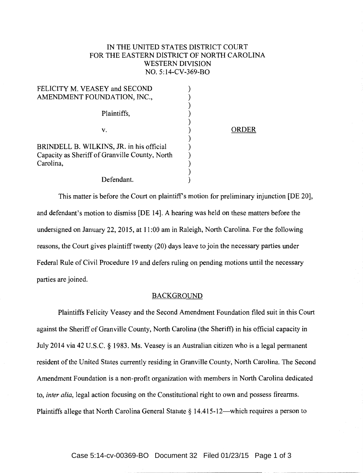## IN THE UNITED STATES DISTRICT COURT FOR THE EASTERN DISTRICT OF NORTH CAROLINA WESTERN DIVISION NO. 5:14-CV-369-BO

| FELICITY M. VEASEY and SECOND                  |       |
|------------------------------------------------|-------|
| AMENDMENT FOUNDATION, INC.,                    |       |
|                                                |       |
| Plaintiffs,                                    |       |
|                                                |       |
| v.                                             | ORDER |
|                                                |       |
| BRINDELL B. WILKINS, JR. in his official       |       |
| Capacity as Sheriff of Granville County, North |       |
| Carolina,                                      |       |
|                                                |       |
| Defendant.                                     |       |

This matter is before the Court on plaintiff's motion for preliminary injunction [DE 20], and defendant's motion to dismiss [DE 14]. A hearing was held on these matters before the undersigned on January 22, 2015, at 11:00 am in Raleigh, North Carolina. For the following reasons, the Court gives plaintiff twenty (20) days leave to join the necessary parties under Federal Rule of Civil Procedure 19 and defers ruling on pending motions until the necessary parties are joined.

## BACKGROUND

Plaintiffs Felicity Veasey and the Second Amendment Foundation filed suit in this Court against the Sheriff of Granville County, North Carolina (the Sheriff) in his official capacity in July 2014 via 42 U.S.C. § 1983. Ms. Veasey is an Australian citizen who is a legal permanent resident of the United States currently residing in Granville County, North Carolina. The Second Amendment Foundation is a non-profit organization with members in North Carolina dedicated to, *inter alia,* legal action focusing on the Constitutional right to own and possess firearms. Plaintiffs allege that North Carolina General Statute § 14.415-12—which requires a person to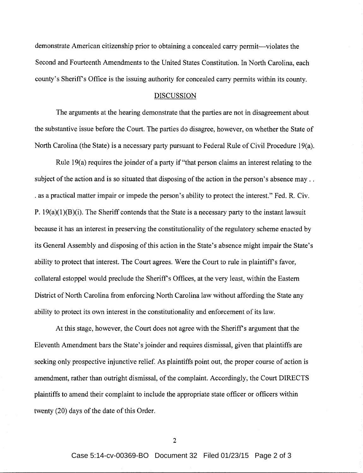demonstrate American citizenship prior to obtaining a concealed carry permit—violates the Second and Fourteenth Amendments to the United States Constitution. In North Carolina, each county's Sheriff's Office is the issuing authority for concealed carry permits within its county.

## DISCUSSION

The arguments at the hearing demonstrate that the parties are not in disagreement about the substantive issue before the Court. The parties do disagree, however, on whether the State of North Carolina (the State) is a necessary party pursuant to Federal Rule of Civil Procedure 19(a).

Rule 19(a) requires the joinder of a party if "that person claims an interest relating to the subject of the action and is so situated that disposing of the action in the person's absence may ... . as a practical matter impair or impede the person's ability to protect the interest." Fed. R. Civ. P.  $19(a)(1)(B)(i)$ . The Sheriff contends that the State is a necessary party to the instant lawsuit because it has an interest in preserving the constitutionality of the regulatory scheme enacted by its General Assembly and disposing of this action in the State's absence might impair the State's ability to protect that interest. The Court agrees. Were the Court to rule in plaintiffs favor, collateral estoppel would preclude the Sheriffs Offices, at the very least, within the Eastern District of North Carolina from enforcing North Carolina law without affording the State any ability to protect its own interest in the constitutionality and enforcement of its law.

At this stage, however, the Court does not agree with the Sheriff's argument that the Eleventh Amendment bars the State's joinder and requires dismissal, given that plaintiffs are seeking only prospective injunctive relief. As plaintiffs point out, the proper course of action is amendment, rather than outright dismissal, of the complaint. Accordingly, the Court DIRECTS plaintiffs to amend their complaint to include the appropriate state officer or officers within twenty (20) days of the date of this Order.

2